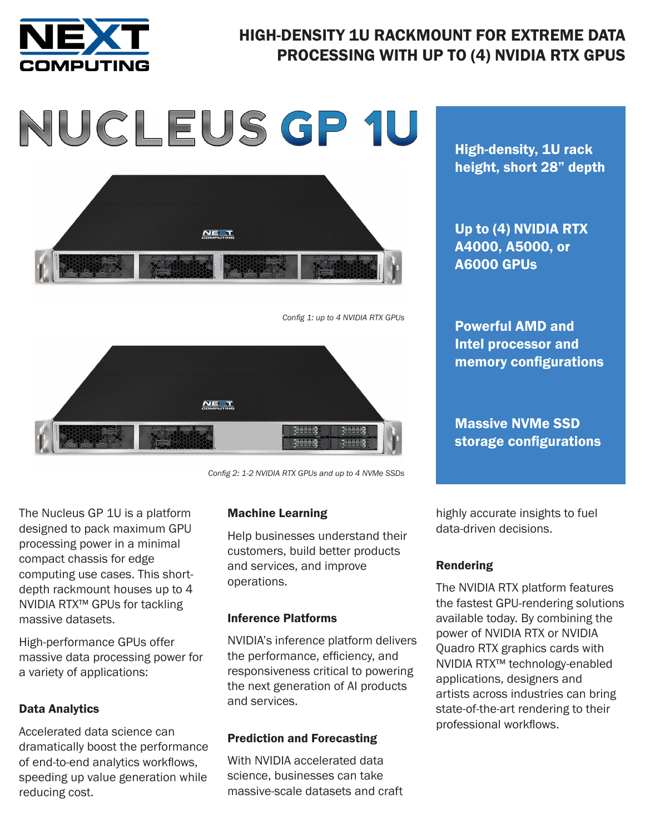

#### HIGH-DENSITY 1U RACKMOUNT FOR EXTREME DATA PROCESSING WITH UP TO (4) NVIDIA RTX GPUS

# NUCLEUS GP 1U



*Config 1: up to 4 NVIDIA RTX GPUs*



*Config 2: 1-2 NVIDIA RTX GPUs and up to 4 NVMe SSDs* 

The Nucleus GP 1U is a platform designed to pack maximum GPU processing power in a minimal compact chassis for edge computing use cases. This shortdepth rackmount houses up to 4 NVIDIA RTX™ GPUs for tackling massive datasets.

High-performance GPUs offer massive data processing power for a variety of applications:

#### Data Analytics

Accelerated data science can dramatically boost the performance of end-to-end analytics workflows, speeding up value generation while reducing cost.

#### Machine Learning

Help businesses understand their customers, build better products and services, and improve operations.

#### Inference Platforms

NVIDIA's inference platform delivers the performance, efficiency, and responsiveness critical to powering the next generation of AI products and services.

#### Prediction and Forecasting

With NVIDIA accelerated data science, businesses can take massive-scale datasets and craft

High-density, 1U rack height, short 28" depth

Up to (4) NVIDIA RTX A4000, A5000, or A6000 GPUs

Powerful AMD and Intel processor and memory configurations

Massive NVMe SSD storage configurations

highly accurate insights to fuel data-driven decisions.

#### Rendering

The NVIDIA RTX platform features the fastest GPU-rendering solutions available today. By combining the power of NVIDIA RTX or NVIDIA Quadro RTX graphics cards with NVIDIA RTX™ technology-enabled applications, designers and artists across industries can bring state-of-the-art rendering to their professional workflows.